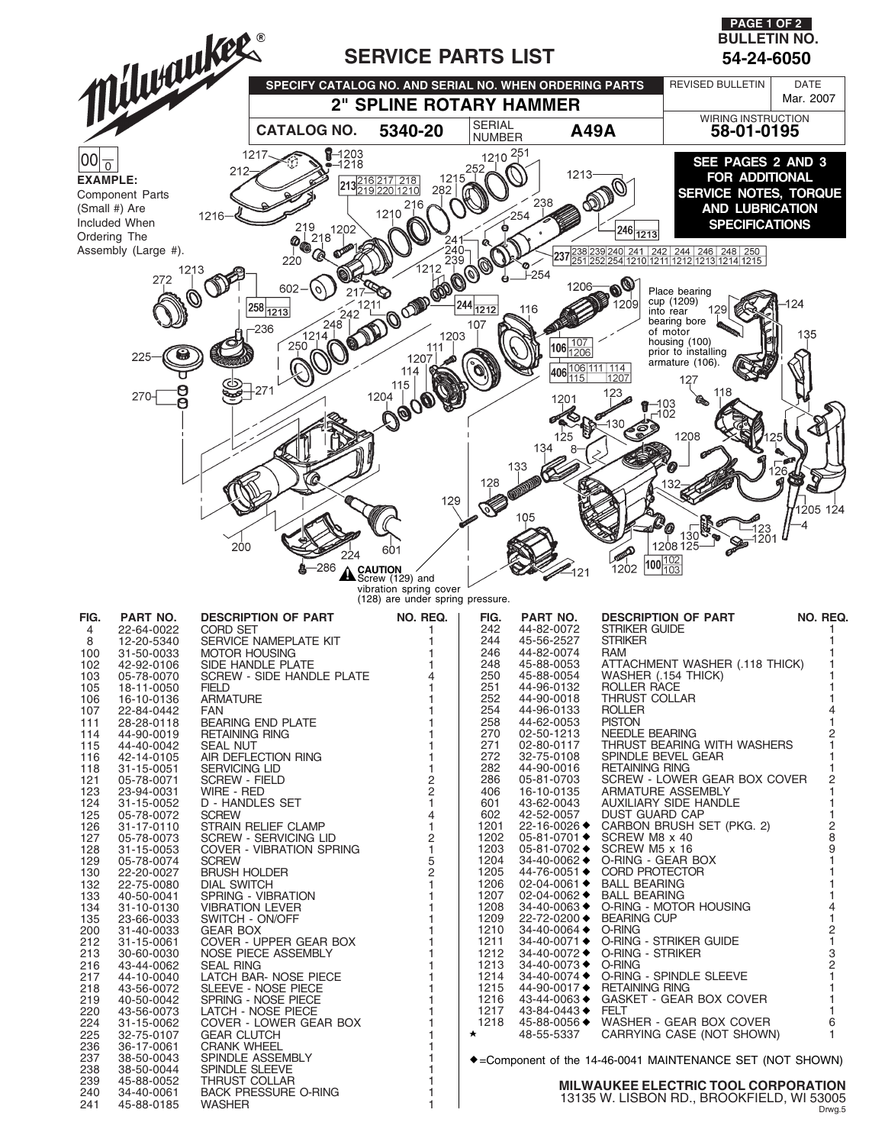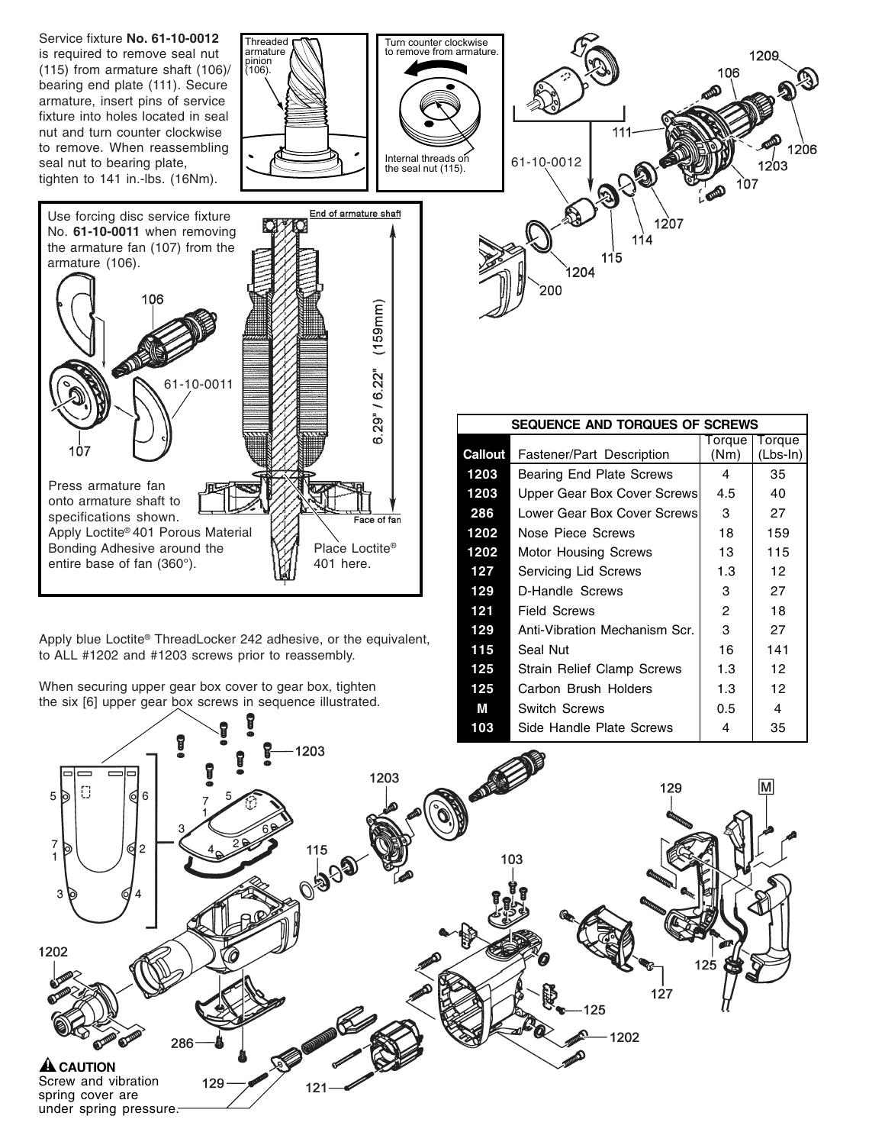

Apply blue Loctite® ThreadLocker 242 adhesive, or the equivalent, to ALL #1202 and #1203 screws prior to reassembly.

When securing upper gear box cover to gear box, tighten the six [6] upper gear box screws in sequence illustrated.

| <b>Callout</b> | Fastener/Part Description         | (Nm) | $(Lbs-In)$      |
|----------------|-----------------------------------|------|-----------------|
| 1203           | Bearing End Plate Screws          | 4    | 35              |
| 1203           | Upper Gear Box Cover Screws       | 4.5  | 40              |
| 286            | Lower Gear Box Cover Screws       | 3    | 27              |
| 1202           | Nose Piece Screws                 | 18   | 159             |
| 1202           | Motor Housing Screws              | 13   | 115             |
| 127            | <b>Servicing Lid Screws</b>       | 1.3  | 12              |
| 129            | D-Handle Screws                   | 3    | 27              |
| 121            | Field Screws                      | 2    | 18              |
| 129            | Anti-Vibration Mechanism Scr.     | 3    | 27              |
| 115            | Seal Nut                          | 16   | 141             |
| 125            | <b>Strain Relief Clamp Screws</b> | 1.3  | 12 <sup>2</sup> |
| 125            | Carbon Brush Holders              | 1.3  | 12              |
| М              | <b>Switch Screws</b>              | 0.5  | 4               |
| 103            | Side Handle Plate Screws          | 4    | 35              |